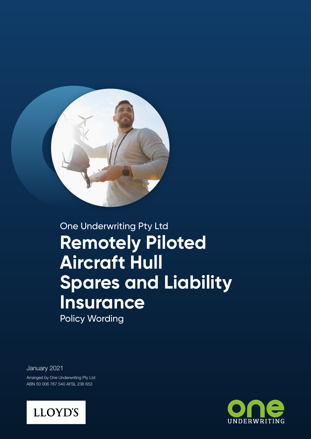

# One Underwriting Pty Ltd **Remotely Piloted Aircraft Hull Spares and Liability Insurance** Policy Wording

January 2021

Arranged by One Underwriting Pty Ltd ABN 50 006 767 540 AFSL 236 653



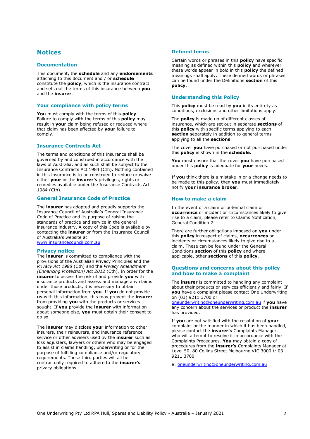## **Notices**

#### **Documentation**

This document, the **schedule** and any **endorsements** attaching to this document and / or **schedule** constitute the **policy**, which is the insurance contract and sets out the terms of this insurance between **you** and the **insurer**.

#### **Your compliance with policy terms**

**You** must comply with the terms of this **policy**. Failure to comply with the terms of this **policy** may result in **your** claim being refused or reduced where that claim has been affected by **your** failure to comply.

## **Insurance Contracts Act**

The terms and conditions of this insurance shall be governed by and construed in accordance with the laws of Australia, and as such shall be subject to the Insurance Contracts Act 1984 (Cth). Nothing contained in this insurance is to be construed to reduce or waive either **your** or the **insurer's** privileges, rights or remedies available under the Insurance Contracts Act 1984 (Cth).

#### **General Insurance Code of Practice**

The **insurer** has adopted and proudly supports the Insurance Council of Australia's General Insurance Code of Practice and its purpose of raising the standards of practice and service in the general insurance industry. A copy of this Code is available by contacting the **insurer** or from the Insurance Council of Australia's website at: [www.insurancecouncil.com.au](http://www.insurancecouncil.com.au/)

## **Privacy notice**

The **insurer** is committed to compliance with the provisions of the Australian Privacy Principles and the *Privacy Act 1988* (Cth) and the *Privacy Amendment (Enhancing Protection) Act 2012* (Cth). In order for the **insurer** to assess the risk of and provide **you** with insurance products and assess and manage any claims under those products, it is necessary to obtain personal information from **you**. If **you** do not provide **us** with this information, this may prevent the **insurer** from providing **you** with the products or services sought. If **you** provide the **insurer** with information about someone else, **you** must obtain their consent to do so.

The **insurer** may disclose **your** information to other insurers, their reinsurers, and insurance reference service or other advisers used by the **insurer** such as loss adjusters, lawyers or others who may be engaged to assist in claims handling, underwriting or for the purpose of fulfilling compliance and/or regulatory requirements. These third parties will all be contractually required to adhere to the **insurer's** privacy obligations.

#### **Defined terms**

Certain words or phrases in this **policy** have specific meaning as defined within this **policy** and wherever these words appear in bold in this **policy** the defined meanings shall apply. These defined words or phrases can be found under the Definitions **section** of this **policy**.

#### **Understanding this Policy**

This **policy** must be read by **you** in its entirety as conditions, exclusions and other limitations apply.

The **policy** is made up of different classes of insurance, which are set out in separate **sections** of this **policy** with specific terms applying to each section separately in addition to general terms applying to all the **sections**.

The cover **you** have purchased or not purchased under this **policy** is shown in the **schedule**.

**You** must ensure that the cover **you** have purchased under this **policy** is adequate for **your** needs.

If **you** think there is a mistake in or a change needs to be made to this policy, then **you** must immediately notify **your insurance broker**.

#### **How to make a claim**

In the event of a claim or potential claim or **occurrence** or incident or circumstances likely to give rise to a claim, please refer to Claims Notification, General Condition 7.

There are further obligations imposed on **you** under this **policy** in respect of claims, **occurrences** or incidents or circumstances likely to give rise to a claim. These can be found under the General Conditions **section** of this **policy** and where applicable, other **sections** of this **policy**.

#### **Questions and concerns about this policy and how to make a complaint**

The **insurer** is committed to handling any complaint about their products or services efficiently and fairly. If **you** have a complaint please contact One Underwriting on (03) 9211 3700 or

[oneunderwriting@oneunderwriting.com.au](mailto:oneunderwriting@oneunderwriting.com.au) if **you** have any concern about the services or product the **insurer** has provided.

If **you** are not satisfied with the resolution of **your**  complaint or the manner in which it has been handled, please contact the **insurer's** Complaints Manager, who will attempt to resolve it in accordance with the Complaints Procedures. **You** may obtain a copy of procedures from the **insurer's** Complaints Manager at Level 50, 80 Collins Street Melbourne VIC 3000 t: 03 9211 3700

e: [oneunderwriting@oneunderwriting.com.au](mailto:oneunderwriting@oneunderwriting.com.au)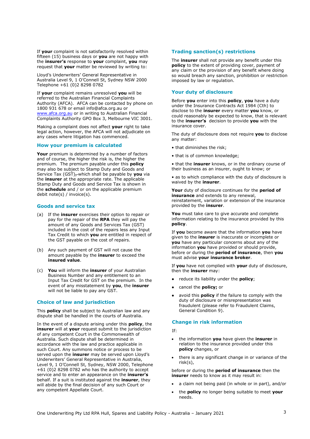If **your** complaint is not satisfactorily resolved within fifteen (15) business days or **you** are not happy with the **insurer's** response to **your** complaint, **you** may request that **your** matter be reviewed by writing to:

Lloyd's Underwriters' General Representative in Australia Level 9, 1 O'Connell St, Sydney NSW 2000 Telephone +61 (0)2 8298 0782

If **your** complaint remains unresolved **you** will be referred to the Australian Financial Complaints Authority (AFCA). AFCA can be contacted by phone on 1800 931 678 or email info@afca.org.au or [www.afca.org.au](http://www.afca.org.au/) or in writing to Australian Financial Complaints Authority GPO Box 3, Melbourne VIC 3001.

Making a complaint does not affect **your** right to take legal action, however, the AFCA will not adjudicate on any cases where litigation has commenced.

#### **How your premium is calculated**

**Your** premium is determined by a number of factors and of course, the higher the risk is, the higher the premium. The premium payable under this **policy** may also be subject to Stamp Duty and Goods and Service Tax (GST), which shall be payable by you via the **insurer** at the appropriate rate. The applicable Stamp Duty and Goods and Service Tax is shown in the **schedule** and / or on the applicable premium debit note(s) / invoice(s).

#### **Goods and service tax**

- (a) If the **insurer** exercises their option to repair or pay for the repair of the **RPA** they will pay the amount of any Goods and Services Tax (GST) included in the cost of the repairs less any Input Tax Credit to which **you** are entitled in respect of the GST payable on the cost of repairs.
- (b) Any such payment of GST will not cause the amount payable by the **insurer** to exceed the **insured value**.
- (c) **You** will inform the **insurer** of your Australian Business Number and any entitlement to an Input Tax Credit for GST on the premium. In the event of any misstatement by **you**, the **insurer** will not be liable to pay any GST.

#### **Choice of law and jurisdiction**

This **policy** shall be subject to Australian law and any dispute shall be handled in the courts of Australia.

In the event of a dispute arising under this **policy**, the **insurer** will at **your** request submit to the jurisdiction of any competent Court in the Commonwealth of Australia. Such dispute shall be determined in accordance with the law and practice applicable in such Court. Any summons notice or process to be served upon the **insurer** may be served upon Lloyd's Underwriters' General Representative in Australia, Level 9, 1 O'Connell St, Sydney, NSW 2000, Telephone +61 (0)2 8298 0782 who has the authority to accept service and to enter an appearance on the **insurer's** behalf. If a suit is instituted against the **insurer**, they will abide by the final decision of any such Court or any competent Appellate Court.

#### **Trading sanction(s) restrictions**

The **insurer** shall not provide any benefit under this **policy** to the extent of providing cover, payment of any claim or the provision of any benefit where doing so would breach any sanction, prohibition or restriction imposed by law or regulation.

#### **Your duty of disclosure**

Before **you** enter into this **policy**, **you** have a duty under the Insurance Contracts Act 1984 (Cth) to disclose to the **insurer** every matter **you** know, or could reasonably be expected to know, that is relevant to the **insurer's** decision to provide **you** with the insurance cover.

The duty of disclosure does not require **you** to disclose any matter:

- that diminishes the risk;
- that is of common knowledge;

• that the **insurer** knows, or in the ordinary course of their business as an insurer, ought to know; or

• as to which compliance with the duty of disclosure is waived by the **insurer**.

**Your** duty of disclosure continues for the **period of insurance** and extends to any renewal, reinstatement, variation or extension of the insurance provided by the **insurer**.

**You** must take care to give accurate and complete information relating to the insurance provided by this **policy**.

If **you** become aware that the information **you** have given to the **insurer** is inaccurate or incomplete or **you** have any particular concerns about any of the information **you** have provided or should provide, before or during the **period of insurance**, then **you** must advise **your insurance broker**.

If **you** have not complied with **your** duty of disclosure, then the **insurer** may:

- reduce its liability under the **policy**;
- cancel the **policy;** or
- avoid this **policy** if the failure to comply with the duty of disclosure or misrepresentation was fraudulent (please refer to Fraudulent Claims, General Condition 9).

#### **Change in risk information**

#### If:

- the information **you** have given the **insurer** in relation to the insurance provided under this **policy** changes, or
- there is any significant change in or variance of the risk(s),

before or during the **period of insurance** then the **insurer** needs to know as it may result in:

- a claim not being paid (in whole or in part), and/or
- the **policy** no longer being suitable to meet **your** needs.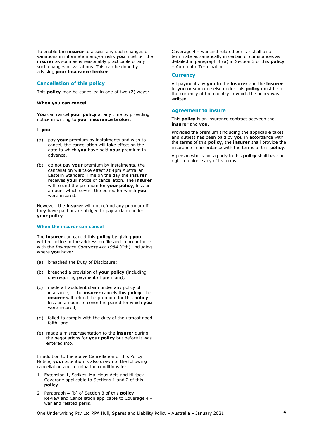To enable the **insurer** to assess any such changes or variations in information and/or risks **you** must tell the **insurer** as soon as is reasonably practicable of any such changes or variations. This can be done by advising **your insurance broker**.

## **Cancellation of this policy**

This **policy** may be cancelled in one of two (2) ways:

#### **When you can cancel**

**You** can cancel **your policy** at any time by providing notice in writing to **your insurance broker**.

#### If **you**:

- (a) pay **your** premium by instalments and wish to cancel, the cancellation will take effect on the date to which **you** have paid **your** premium in advance.
- (b) do not pay **your** premium by instalments, the cancellation will take effect at 4pm Australian Eastern Standard Time on the day the **insurer** receives **your** notice of cancellation. The **insurer** will refund the premium for **your policy**, less an amount which covers the period for which **you** were insured.

However, the **insurer** will not refund any premium if they have paid or are obliged to pay a claim under **your policy**.

#### **When the insurer can cancel**

The **insurer** can cancel this **policy** by giving **you** written notice to the address on file and in accordance with the *Insurance Contracts Act 1984* (Cth), including where **you** have:

- (a) breached the Duty of Disclosure;
- (b) breached a provision of **your policy** (including one requiring payment of premium);
- (c) made a fraudulent claim under any policy of insurance; if the **insurer** cancels this **policy**, the **insurer** will refund the premium for this **policy** less an amount to cover the period for which **you** were insured;
- (d) failed to comply with the duty of the utmost good faith; and
- (e) made a misrepresentation to the **insurer** during the negotiations for **your policy** but before it was entered into.

In addition to the above Cancellation of this Policy Notice, **your** attention is also drawn to the following cancellation and termination conditions in:

- 1 Extension 1, Strikes, Malicious Acts and Hi-jack Coverage applicable to Sections 1 and 2 of this **policy**.
- 2 Paragraph 4 (b) of Section 3 of this **policy** Review and Cancellation applicable to Coverage 4 war and related perils.

Coverage 4 – war and related perils - shall also terminate automatically in certain circumstances as detailed in paragraph 4 (a) in Section 3 of this **policy** – Automatic Termination.

#### **Currency**

All payments by **you** to the **insurer** and the **insurer** to **you** or someone else under this **policy** must be in the currency of the country in which the policy was written.

#### **Agreement to insure**

This **policy** is an insurance contract between the **insurer** and **you**.

Provided the premium (including the applicable taxes and duties) has been paid by **you** in accordance with the terms of this **policy**, the **insurer** shall provide the insurance in accordance with the terms of this **policy**.

A person who is not a party to this **policy** shall have no right to enforce any of its terms.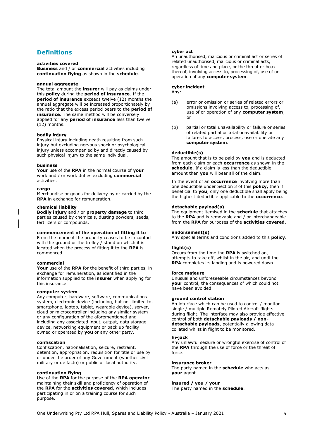## **Definitions**

#### **activities covered**

**Business** and / or **commercial** activities including **continuation flying** as shown in the **schedule**.

#### **annual aggregate**

The total amount the **insurer** will pay as claims under this **policy** during the **period of insurance**. If the **period of insurance** exceeds twelve (12) months the annual aggregate will be increased proportionately by the ratio that the excess period bears to the **period of insurance**. The same method will be conversely applied for any **period of insurance** less than twelve (12) months.

#### **bodily injury**

Physical injury including death resulting from such injury but excluding nervous shock or psychological injury unless accompanied by and directly caused by such physical injury to the same individual.

#### **business**

**Your** use of the **RPA** in the normal course of **your** work and / or work duties excluding **commercial** activities.

#### **cargo**

Merchandise or goods for delivery by or carried by the **RPA** in exchange for remuneration.

#### **chemical liability**

**Bodily injury** and / or **property damage** to third parties caused by chemicals, dusting powders, seeds, fertilizers or compounds.

#### **commencement of the operation of fitting it to**

From the moment the property ceases to be in contact with the ground or the trolley / stand on which it is located when the process of fitting it to the **RPA** is commenced.

#### **commercial**

**Your** use of the **RPA** for the benefit of third parties, in exchange for remuneration, as identified in the information supplied to the **insurer** when applying for this insurance.

#### **computer system**

Any computer, hardware, software, communications system, electronic device (including, but not limited to, smartphone, laptop, tablet, wearable device), server, cloud or microcontroller including any similar system or any configuration of the aforementioned and including any associated input, output, data storage device, networking equipment or back up facility owned or operated by **you** or any other party.

#### **confiscation**

Confiscation, nationalisation, seizure, restraint, detention, appropriation, requisition for title or use by or under the order of any Government (whether civil military or de facto) or public or local authority.

#### **continuation flying**

Use of the **RPA** for the purpose of the **RPA operator** maintaining their skill and proficiency of operation of the **RPA** for the **activities covered**, which includes participating in or on a training course for such purpose.

#### **cyber act**

An unauthorised, malicious or criminal act or series of related unauthorised, malicious or criminal acts, regardless of time and place, or the threat or hoax thereof, involving access to, processing of, use of or operation of any **computer system**.

#### **cyber incident**

Any:

- (a) error or omission or series of related errors or omissions involving access to, processing of, use of or operation of any **computer system**; or
- (b) partial or total unavailability or failure or series of related partial or total unavailability or failures to access, process, use or operate any **computer system**.

#### **deductible(s)**

The amount that is to be paid by **you** and is deducted from each claim or each **occurrence** as shown in the **schedule**. If a claim is less than the deductible amount then **you** will bear all of the claim.

In the event of an **occurrence** involving more than one deductible under Section 3 of this **policy**, then if beneficial to **you**, only one deductible shall apply being the highest deductible applicable to the **occurrence**.

#### **detachable payload(s)**

The equipment itemised in the **schedule** that attaches to the **RPA** and is removable and / or interchangeable from the **RPA** for purposes of the **activities covered**.

#### **endorsement(s)**

Any special terms and conditions added to this **policy**.

#### **flight(s)**

Occurs from the time the **RPA** is switched on, attempts to take off, whilst in the air, and until the **RPA** completes its landing and is powered down.

#### **force majeure**

Unusual and unforeseeable circumstances beyond **your** control, the consequences of which could not have been avoided.

#### **ground control station**

An interface which can be used to control / monitor single / multiple Remotely Piloted Aircraft flights during flight. The interface may also provide effective control of both **detachable payloads / nondetachable payloads**, potentially allowing data collated whilst in flight to be monitored.

#### **hi-jack**

Any unlawful seizure or wrongful exercise of control of the **RPA** through the use of force or the threat of force.

#### **insurance broker**

The party named in the **schedule** who acts as **your** agent.

#### **insured / you / your**

The party named in the **schedule**.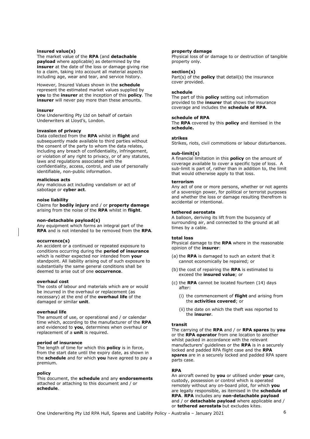#### **insured value(s)**

The market value of the **RPA** (and **detachable payload** where applicable) as determined by the **insurer** at the date of the loss or damage giving rise to a claim, taking into account all material aspects including age, wear and tear, and service history.

However, Insured Values shown in the **schedule**  represent the estimated market values supplied by **you** to the **insurer** at the inception of this **policy**. The **insurer** will never pay more than these amounts.

#### **insurer**

One Underwriting Pty Ltd on behalf of certain Underwriters at Lloyd's, London.

#### **invasion of privacy**

Data collected from the **RPA** whilst in **flight** and subsequently made available to third parties without the consent of the party to whom the data relates, including any breach of confidentiality, infringement, or violation of any right to privacy, or of any statutes, laws and regulations associated with the confidentiality, access, control, and use of personally identifiable, non-public information.

#### **malicious acts**

Any malicious act including vandalism or act of sabotage or **cyber act**.

#### **noise liability**

Claims for **bodily injury** and / or **property damage** arising from the noise of the **RPA** whilst in **flight**.

#### **non-detachable payload(s)**

Any equipment which forms an integral part of the **RPA** and is not intended to be removed from the **RPA***.*

#### **occurrence(s)**

An accident or a continued or repeated exposure to conditions occurring during the **period of insurance** which is neither expected nor intended from **your**  standpoint. All liability arising out of such exposure to substantially the same general conditions shall be deemed to arise out of one **occurrence**.

#### **overhaul cost**

The costs of labour and materials which are or would be incurred in the overhaul or replacement (as necessary) at the end of the **overhaul life** of the damaged or similar **unit**.

#### **overhaul life**

The amount of use, or operational and / or calendar time which, according to the manufacturer of the **RPA** and evidenced to **you**, determines when overhaul or replacement of a **unit** is required.

#### **period of insurance**

The length of time for which this **policy** is in force, from the start date until the expiry date, as shown in the **schedule** and for which **you** have agreed to pay a premium.

#### **policy**

This document, the **schedule** and any **endorsements** attached or attaching to this document and / or **schedule**.

#### **property damage**

Physical loss of or damage to or destruction of tangible property only.

#### **section(s)**

Part(s) of the **policy** that detail(s) the insurance cover provided.

#### **schedule**

The part of this **policy** setting out information provided to the **insurer** that shows the insurance coverage and includes the **schedule of RPA**.

#### **schedule of RPA**

The **RPA** covered by this **policy** and itemised in the **schedule.**

#### **strikes**

Strikes, riots, civil commotions or labour disturbances.

#### **sub-limit(s)**

A financial limitation in this **policy** on the amount of coverage available to cover a specific type of loss. A sub-limit is part of, rather than in addition to, the limit that would otherwise apply to that loss.

#### **terrorism**

Any act of one or more persons, whether or not agents of a sovereign power, for political or terrorist purposes and whether the loss or damage resulting therefrom is accidental or intentional.

#### **tethered aerostats**

A balloon, deriving its lift from the buoyancy of surrounding air, and connected to the ground at all times by a cable.

#### **total loss**

Physical damage to the **RPA** where in the reasonable opinion of the **insurer**:

- (a) the **RPA** is damaged to such an extent that it cannot economically be repaired; or
- (b) the cost of repairing the **RPA** is estimated to exceed the **insured value**; or
- (c) the **RPA** cannot be located fourteen (14) days after:
	- (i) the commencement of **flight** and arising from the **activities covered**; or
	- (ii) the date on which the theft was reported to the **insurer**.

#### **transit**

The carrying of the **RPA** and / or **RPA spares** by **you**  or the **RPA operator** from one location to another whilst packed in accordance with the relevant manufacturers' guidelines or the **RPA** is in a securely locked and padded RPA flight case and the **RPA spares** are in a securely locked and padded RPA spare parts case.

#### **RPA**

An aircraft owned by **you** or utilised under **your** care, custody, possession or control which is operated remotely without any on-board pilot, for which **you** are legally responsible, as itemised in the **schedule of RPA**. **RPA** includes any **non-detachable payload** and / or **detachable payload** where applicable and / or **tethered aerostats** but excludes kites.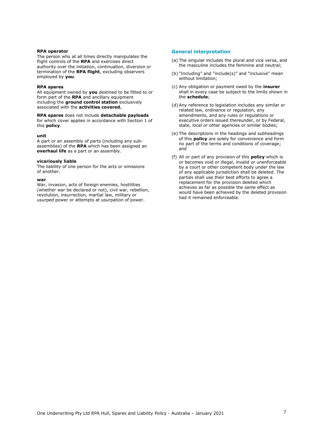#### **RPA operator**

The person who at all times directly manipulates the flight controls of the **RPA** and exercises direct authority over the initiation, continuation, diversion or termination of the **RPA flight**, excluding observers employed by **you**.

#### **RPA spares**

All equipment owned by **you** destined to be fitted to or form part of the **RPA** and ancillary equipment including the **ground control station** exclusively associated with the **activities covered.**

**RPA spares** does not include **detachable payloads** for which cover applies in accordance with Section 1 of this **policy**.

#### **unit**

A part or an assembly of parts (including any subassemblies) of the **RPA** which has been assigned an **overhaul life** as a part or an assembly.

## **vicariously liable**

The liability of one person for the acts or omissions of another.

#### **war**

War, invasion, acts of foreign enemies, hostilities (whether war be declared or not), civil war, rebellion, revolution, insurrection, martial law, military or usurped power or attempts at usurpation of power.

#### **General interpretation**

- (a) The singular includes the plural and vice versa, and the masculine includes the feminine and neutral;
- (b) "Including" and "include(s)" and "inclusive" mean without limitation;
- (c) Any obligation or payment owed by the **insurer** shall in every case be subject to the limits shown in the **schedule**;
- (d) Any reference to legislation includes any similar or related law, ordinance or regulation, any amendments, and any rules or regulations or executive orders issued thereunder, or by Federal, state, local or other agencies or similar bodies;
- (e) The descriptions in the headings and subheadings of this **policy** are solely for convenience and form no part of the terms and conditions of coverage; and
- (f) All or part of any provision of this **policy** which is or becomes void or illegal, invalid or unenforceable by a court or other competent body under the law of any applicable jurisdiction shall be deleted. The parties shall use their best efforts to agree a replacement for the provision deleted which achieves as far as possible the same effect as would have been achieved by the deleted provision had it remained enforceable.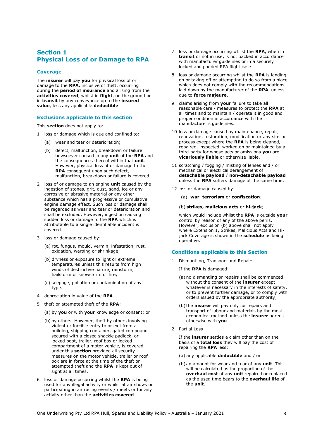## **Section 1 Physical Loss of or Damage to RPA**

#### **Coverage**

The **insurer** will pay **you** for physical loss of or damage to the **RPA**, inclusive of theft, occurring during the **period of insurance** and arising from the **activities covered**, whilst in **flight**, on the ground or in **transit** by any conveyance up to the **insured value**, less any applicable **deductible**.

## **Exclusions applicable to this section**

This **section** does not apply to:

- 1 loss or damage which is due and confined to:
	- (a) wear and tear or deterioration;
	- (b) defect, malfunction, breakdown or failure howsoever caused in any **unit** of the **RPA** and the consequences thereof within that **unit**. However, physical loss of or damage to the **RPA** consequent upon such defect, malfunction, breakdown or failure is covered.
- 2 loss of or damage to an engine **unit** caused by the ingestion of stones, grit, dust, sand, ice or any corrosive or abrasive material or any other substance which has a progressive or cumulative engine damage effect. Such loss or damage shall be regarded as wear and tear or deterioration and shall be excluded. However, ingestion causing sudden loss or damage to the **RPA** which is attributable to a single identifiable incident is covered.
- 3 loss or damage caused by:
	- (a) rot, fungus, mould, vermin, infestation, rust, oxidation, warping or shrinkage;
	- (b) dryness or exposure to light or extreme temperatures unless this results from high winds of destructive nature, rainstorm, hailstorm or snowstorm or fire;
	- (c) seepage, pollution or contamination of any type.
- 4 depreciation in value of the **RPA**.
- 5 theft or attempted theft of the **RPA**:
	- (a) by **you** or with **your** knowledge or consent; or
	- (b) by others. However, theft by others involving violent or forcible entry to or exit from a building, shipping container, gated compound secured with a closed shackle padlock, or locked boot, trailer, roof box or locked compartment of a motor vehicle, is covered under this **section** provided all security measures on the motor vehicle, trailer or roof box are in force at the time of the theft or attempted theft and the **RPA** is kept out of sight at all times.
- 6 loss or damage occurring whilst the **RPA** is being used for any illegal activity or whilst at air shows or participating in air racing events / meets or for any activity other than the **activities covered**.
- 7 loss or damage occurring whilst the **RPA**, when in **transit** or not in use, is not packed in accordance with manufacturer guidelines or in a securely locked and padded RPA flight case.
- 8 loss or damage occurring whilst the **RPA** is landing on or taking off or attempting to do so from a place which does not comply with the recommendations laid down by the manufacturer of the **RPA**, unless due to **force majeure**.
- 9 claims arising from **your** failure to take all reasonable care / measures to protect the **RPA** at all times and to maintain / operate it in good and proper condition in accordance with the manufacturer's guidelines.
- 10 loss or damage caused by maintenance, repair, renovation, restoration, modification or any similar process except where the **RPA** is being cleaned, repaired, inspected, worked on or maintained by a third party for whose acts or omissions **you** are **vicariously liable** or otherwise liable.
- 11 scratching / fogging / misting of lenses and / or mechanical or electrical derangement of **detachable payload** / **non-detachable payload** unless the **RPA** suffers damage at the same time.
- 12 loss or damage caused by:
	- (a) **war**, **terrorism** or **confiscation**;
	- (b) **strikes, malicious acts** or **hi-jack**;

which would include whilst the **RPA** is outside **your** control by reason of any of the above perils**.** However, exclusion (b) above shall not apply where Extension 1, Strikes, Malicious Acts and Hijack Coverage is shown in the **schedule** as being operative.

#### **Conditions applicable to this Section**

1 Dismantling, Transport and Repairs

If the **RPA** is damaged:

- (a) no dismantling or repairs shall be commenced without the consent of the **insurer** except whatever is necessary in the interests of safety, or to prevent further damage, or to comply with orders issued by the appropriate authority;
- (b) the **insurer** will pay only for repairs and transport of labour and materials by the most economical method unless the **insurer** agrees otherwise with **you**.
- 2 Partial Loss

If the **insurer** settles a claim other than on the basis of a **total loss** they will pay the cost of repairing the **RPA** less:

- (a) any applicable **deductible** and / or
- (b) an amount for wear and tear of any **unit**. This will be calculated as the proportion of the **overhaul cost** of any **unit** repaired or replaced as the used time bears to the **overhaul life** of the **unit**.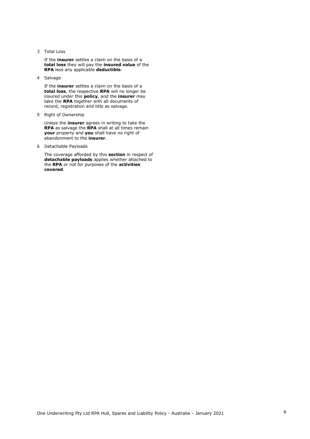3 Total Loss

If the **insurer** settles a claim on the basis of a **total loss** they will pay the **insured value** of the **RPA** less any applicable **deductible**.

4 Salvage

If the **insurer** settles a claim on the basis of a **total loss**, the respective **RPA** will no longer be insured under this **policy**, and the **insurer** may take the **RPA** together with all documents of record, registration and title as salvage.

5 Right of Ownership

Unless the **insurer** agrees in writing to take the **RPA** as salvage the **RPA** shall at all times remain **your** property and **you** shall have no right of abandonment to the **insurer**.

6 Detachable Payloads

The coverage afforded by this **section** in respect of **detachable payloads** applies whether attached to the **RPA** or not for purposes of the **activities covered**.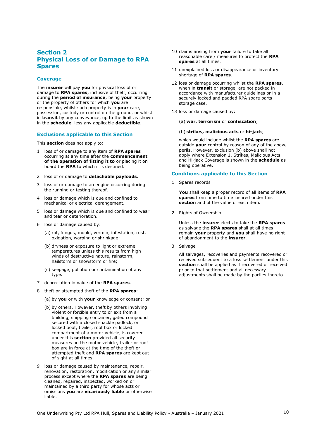## **Section 2 Physical Loss of or Damage to RPA Spares**

#### **Coverage**

The **insurer** will pay **you** for physical loss of or damage to **RPA spares**, inclusive of theft, occurring during the **period of insurance**, being **your** property or the property of others for which **you** are responsible, whilst such property is in **your** care, possession, custody or control on the ground, or whilst in **transit** by any conveyance, up to the limit as shown in the **schedule**, less any applicable **deductible**.

#### **Exclusions applicable to this Section**

This **section** does not apply to:

- 1 loss of or damage to any item of **RPA spares** occurring at any time after the **commencement of the operation of fitting it to** or placing it on board the **RPA** to which it is destined.
- 2 loss of or damage to **detachable payloads**.
- 3 loss of or damage to an engine occurring during the running or testing thereof.
- 4 loss or damage which is due and confined to mechanical or electrical derangement.
- 5 loss or damage which is due and confined to wear and tear or deterioration.
- 6 loss or damage caused by:
	- (a) rot, fungus, mould, vermin, infestation, rust, oxidation, warping or shrinkage;
	- (b) dryness or exposure to light or extreme temperatures unless this results from high winds of destructive nature, rainstorm, hailstorm or snowstorm or fire;
	- (c) seepage, pollution or contamination of any type.
- 7 depreciation in value of the **RPA spares**.
- 8 theft or attempted theft of the **RPA spares**:
	- (a) by **you** or with **your** knowledge or consent; or
	- (b) by others. However, theft by others involving violent or forcible entry to or exit from a building, shipping container, gated compound secured with a closed shackle padlock, or locked boot, trailer, roof box or locked compartment of a motor vehicle, is covered under this **section** provided all security measures on the motor vehicle, trailer or roof box are in force at the time of the theft or attempted theft and **RPA spares** are kept out of sight at all times.
- 9 loss or damage caused by maintenance, repair, renovation, restoration, modification or any similar process except where the **RPA spares** are being cleaned, repaired, inspected, worked on or maintained by a third party for whose acts or omissions **you** are **vicariously liable** or otherwise liable.
- 10 claims arising from **your** failure to take all reasonable care / measures to protect the **RPA spares** at all times.
- 11 unexplained loss or disappearance or inventory shortage of **RPA spares**.
- 12 loss or damage occurring whilst the **RPA spares**, when in **transit** or storage, are not packed in accordance with manufacturer guidelines or in a securely locked and padded RPA spare parts storage case.
- 13 loss or damage caused by:

(a) **war**, **terrorism** or **confiscation**;

#### (b) **strikes, malicious acts** or **hi-jack**;

which would include whilst the **RPA spares** are outside **your** control by reason of any of the above perils**.** However, exclusion (b) above shall not apply where Extension 1, Strikes, Malicious Acts and Hi-jack Coverage is shown in the **schedule** as being operative.

#### **Conditions applicable to this Section**

#### 1 Spares records

**You** shall keep a proper record of all items of **RPA spares** from time to time insured under this **section** and of the value of each item.

2 Rights of Ownership

Unless the **insurer** elects to take the **RPA spares** as salvage the **RPA spares** shall at all times remain **your** property and **you** shall have no right of abandonment to the **insurer**.

3 Salvage

All salvages, recoveries and payments recovered or received subsequent to a loss settlement under this section shall be applied as if recovered or received prior to that settlement and all necessary adjustments shall be made by the parties thereto.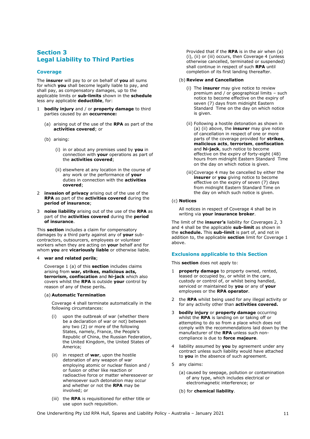## **Section 3 Legal Liability to Third Parties**

#### **Coverage**

The **insurer** will pay to or on behalf of **you** all sums for which **you** shall become legally liable to pay, and shall pay, as compensatory damages, up to the applicable limits or **sub-limits** shown in the **schedule**  less any applicable **deductible**, for:

- 1 **bodily injury** and / or **property damage** to third parties caused by an **occurrence:**
	- (a) arising out of the use of the **RPA** as part of the **activities covered**; or
	- (b) arising:
		- (i) in or about any premises used by **you** in connection with **your** operations as part of the **activities covered**;
		- (ii) elsewhere at any location in the course of any work or the performance of **your** duties in connection with the **activities covered**;
- 2 **invasion of privacy** arising out of the use of the **RPA** as part of the **activities covered** during the **period of insurance**;
- 3 **noise liability** arising out of the use of the **RPA** as part of the **activities covered** during the **period of insurance**.

This **section** includes a claim for compensatory damages by a third party against any of **your** subcontractors, outsourcers, employees or volunteer workers when they are acting on **your** behalf and for whom **you** are **vicariously liable** or otherwise liable.

#### 4 **war and related perils**;

Coverage 1 (a) of this **section** includes claims arising from **war, strikes, malicious acts, terrorism, confiscation** and **hi-jack** which also covers whilst the **RPA** is outside **your** control by reason of any of these perils**.**

#### (a) **Automatic Termination**

Coverage 4 shall terminate automatically in the following circumstances:

- (i) upon the outbreak of war (whether there be a declaration of war or not) between any two (2) or more of the following States, namely, France, the People's Republic of China, the Russian Federation, the United Kingdom, the United States of America;
- (ii) in respect of **war**, upon the hostile detonation of any weapon of war employing atomic or nuclear fission and / or fusion or other like reaction or radioactive force or matter wheresoever or whensoever such detonation may occur and whether or not the **RPA** may be involved; or
- (iii) the **RPA** is requisitioned for either title or use upon such requisition.

Provided that if the **RPA** is in the air when (a) (i), (ii) or (iii) occurs, then Coverage 4 (unless otherwise cancelled, terminated or suspended) shall continue in respect of such **RPA** until completion of its first landing thereafter.

#### (b) **Review and Cancellation**

- (i) The **insurer** may give notice to review premium and / or geographical limits – such notice to become effective on the expiry of seven (7) days from midnight Eastern Standard Time on the day on which notice is given.
- (ii) Following a hostile detonation as shown in (a) (ii) above, the **insurer** may give notice of cancellation in respect of one or more parts of the coverage provided for **strikes**, **malicious acts**, **terrorism**, **confiscation** and **hi-jack**, such notice to become effective on the expiry of forty-eight (48) hours from midnight Eastern Standard Time on the day on which notice is given.
- (iii)Coverage 4 may be cancelled by either the **insurer** or **you** giving notice to become effective on the expiry of seven (7) days from midnight Eastern Standard Time on the day on which such notice is given.

#### (c) **Notices**

All notices in respect of Coverage 4 shall be in writing via **your insurance broker**.

The limit of the **insurer's** liability for Coverages 2, 3 and 4 shall be the applicable **sub-limit** as shown in the **schedule.** This **sub-limit** is part of, and not in addition to, the applicable **section** limit for Coverage 1 above.

## **Exclusions applicable to this Section**

This **section** does not apply to:

- 1 **property damage** to property owned, rented, leased or occupied by, or whilst in the care, custody or control of, or whilst being handled, serviced or maintained by **you** or any of **your** employees or the **RPA operator**.
- 2 the **RPA** whilst being used for any illegal activity or for any activity other than **activities covered.**
- 3 **bodily injury** or **property damage** occurring whilst the **RPA** is landing on or taking off or attempting to do so from a place which does not comply with the recommendations laid down by the manufacturer of the **RPA** unless such noncompliance is due to **force majeure**.
- 4 liability assumed by **you** by agreement under any contract unless such liability would have attached to **you** in the absence of such agreement.
- 5 any claims:
	- (a) caused by seepage, pollution or contamination of any type, which includes electrical or electromagnetic interference; or
	- (b) for **chemical liability**.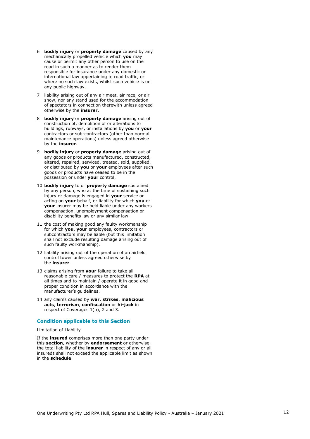- 6 **bodily injury** or **property damage** caused by any mechanically propelled vehicle which **you** may cause or permit any other person to use on the road in such a manner as to render them responsible for insurance under any domestic or international law appertaining to road traffic, or where no such law exists, whilst such vehicle is on any public highway.
- 7 liability arising out of any air meet, air race, or air show, nor any stand used for the accommodation of spectators in connection therewith unless agreed otherwise by the **insurer**.
- 8 **bodily injury** or **property damage** arising out of construction of, demolition of or alterations to buildings, runways, or installations by **you** or **your** contractors or sub-contractors (other than normal maintenance operations) unless agreed otherwise by the **insurer**.
- 9 **bodily injury** or **property damage** arising out of any goods or products manufactured, constructed, altered, repaired, serviced, treated, sold, supplied, or distributed by **you** or **your** employees after such goods or products have ceased to be in the possession or under **your** control.
- 10 **bodily injury** to or **property damage** sustained by any person, who at the time of sustaining such injury or damage is engaged in **your** service or acting on **your** behalf, or liability for which **you** or **your** insurer may be held liable under any workers compensation, unemployment compensation or disability benefits law or any similar law.
- 11 the cost of making good any faulty workmanship for which **you**, **your** employees, contractors or subcontractors may be liable (but this limitation shall not exclude resulting damage arising out of such faulty workmanship).
- 12 liability arising out of the operation of an airfield control tower unless agreed otherwise by the **insurer**.
- 13 claims arising from **your** failure to take all reasonable care / measures to protect the **RPA** at all times and to maintain / operate it in good and proper condition in accordance with the manufacturer's guidelines.
- 14 any claims caused by **war**, **strikes**, **malicious acts**, **terrorism**, **confiscation** or **hi-jack** in respect of Coverages 1(b), 2 and 3.

#### **Condition applicable to this Section**

Limitation of Liability

If the **insured** comprises more than one party under this **section**, whether by **endorsement** or otherwise, the total liability of the **insurer** in respect of any or all insureds shall not exceed the applicable limit as shown in the **schedule**.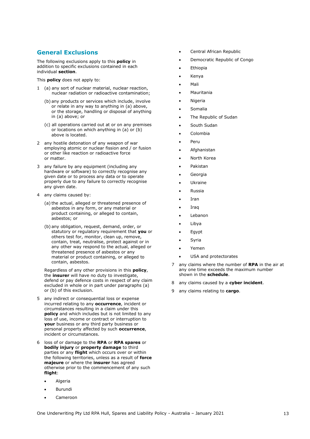## **General Exclusions**

The following exclusions apply to this **policy** in addition to specific exclusions contained in each individual **section**.

This **policy** does not apply to:

- 1 (a) any sort of nuclear material, nuclear reaction, nuclear radiation or radioactive contamination;
	- (b) any products or services which include, involve or relate in any way to anything in (a) above, or the storage, handling or disposal of anything in (a) above; or
	- (c) all operations carried out at or on any premises or locations on which anything in (a) or (b) above is located.
- 2 any hostile detonation of any weapon of war employing atomic or nuclear fission and / or fusion or other like reaction or radioactive force or matter.
- 3 any failure by any equipment (including any hardware or software) to correctly recognise any given date or to process any data or to operate properly due to any failure to correctly recognise any given date.
- 4 any claims caused by:
	- (a) the actual, alleged or threatened presence of asbestos in any form, or any material or product containing, or alleged to contain, asbestos; or
	- (b) any obligation, request, demand, order, or statutory or regulatory requirement that **you** or others test for, monitor, clean up, remove, contain, treat, neutralise, protect against or in any other way respond to the actual, alleged or threatened presence of asbestos or any material or product containing, or alleged to contain, asbestos.

Regardless of any other provisions in this **policy**, the **insurer** will have no duty to investigate, defend or pay defence costs in respect of any claim excluded in whole or in part under paragraphs (a) or (b) of this exclusion.

- 5 any indirect or consequential loss or expense incurred relating to any **occurrence**, incident or circumstances resulting in a claim under this **policy** and which includes but is not limited to any loss of use, income or contract or interruption to **your** business or any third party business or personal property affected by such **occurrence**, incident or circumstances.
- 6 loss of or damage to the **RPA** or **RPA spares** or **bodily injury** or **property damage** to third parties or any **flight** which occurs over or within the following territories, unless as a result of **force majeure** or where the **insurer** has agreed otherwise prior to the commencement of any such **flight**:
	- Algeria
	- **Burundi**
	- Cameroon
- Central African Republic
- Democratic Republic of Congo
- Ethiopia
- Kenya
- Mali
- **Mauritania**
- Nigeria
- Somalia
- The Republic of Sudan
- South Sudan
- Colombia
- Peru
- Afghanistan
- North Korea
- Pakistan
- **Georgia**
- **Ukraine**
- Russia
- **Iran**
- Iraq
- Lebanon
- Libya
- Egypt
- **Syria**
- Yemen
- USA and protectorates
- 7 any claims where the number of **RPA** in the air at any one time exceeds the maximum number shown in the **schedule**.
- 8 any claims caused by a **cyber incident**.
- 9 any claims relating to **cargo**.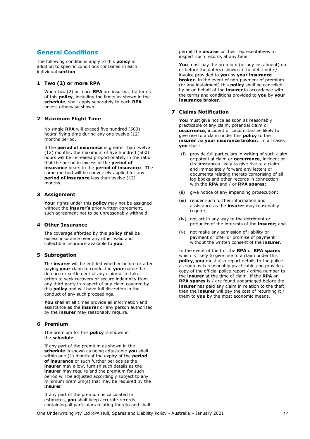## **General Conditions**

The following conditions apply to this **policy** in addition to specific conditions contained in each individual **section**.

#### **1 Two (2) or more RPA**

When two (2) or more **RPA** are insured, the terms of this **policy**, including the limits as shown in the **schedule**, shall apply separately to each **RPA** unless otherwise shown.

## **2 Maximum Flight Time**

No single **RPA** will exceed five hundred (500) hours' flying time during any one twelve (12) months period.

If the **period of insurance** is greater than twelve (12) months, the maximum of five hundred (500) hours will be increased proportionately in the ratio that the period in excess of the **period of insurance** bears to the **period of insurance**. The same method will be conversely applied for any **period of insurance** less than twelve (12) months.

#### **3 Assignment**

**Your** rights under this **policy** may not be assigned without the **insurer's** prior written agreement, such agreement not to be unreasonably withheld.

## **4 Other Insurance**

The coverage afforded by this **policy** shall be excess insurance over any other valid and collectible insurance available to **you**.

## **5 Subrogation**

The **insurer** will be entitled whether before or after paying **your** claim to conduct in **your** name the defence or settlement of any claim or to take action to seek recovery or secure indemnity from any third party in respect of any claim covered by this **policy** and will have full discretion in the conduct of any such proceedings.

**You** shall at all times provide all information and assistance as the **insurer** or any person authorised by the **insurer** may reasonably require.

#### **6 Premium**

The premium for this **policy** is shown in the **schedule**.

If any part of the premium as shown in the **schedule** is shown as being adjustable **you** shall within one (1) month of the expiry of the **period of insurance** or such further periods as the **insurer** may allow, furnish such details as the **insurer** may require and the premium for such period will be adjusted accordingly subject to any minimum premium(s) that may be required by the **insurer**.

If any part of the premium is calculated on estimates, **you** shall keep accurate records containing all particulars relating thereto and shall permit the **insurer** or their representatives to inspect such records at any time.

You must pay the premium (or any instalment) on or before the date(s) shown in the debit note / invoice provided to **you** by **your insurance broker**. In the event of non-payment of premium (or any instalment) this **policy** shall be cancelled by or on behalf of the **insurer** in accordance with the terms and conditions provided to **you** by **your insurance broker**.

## **7 Claims Notification**

**You** must give notice as soon as reasonably practicable of any claim, potential claim or **occurrence**, incident or circumstances likely to give rise to a claim under this **policy** to the **insurer** via **your insurance broker**. In all cases **you** shall:

- (i) provide full particulars in writing of such claim or potential claim or **occurrence**, incident or circumstances likely to give rise to a claim and immediately forward any letters or documents relating thereto comprising of all log books and other records in connection with the **RPA** and / or **RPA spares**;
- (ii) give notice of any impending prosecution;
- (iii) render such further information and assistance as the **insurer** may reasonably require;
- (iv) not act in any way to the detriment or prejudice of the interests of the **insurer**; and
- (v) not make any admission of liability or payment or offer or promise of payment without the written consent of the **insurer**.

In the event of theft of the **RPA** or **RPA spares** which is likely to give rise to a claim under this **policy**, **you** must also report details to the police as soon as is reasonably practicable and provide a copy of the official police report / crime number to the **insurer** at the time of claim. If the **RPA** or **RPA spares** is / are found undamaged before the **insurer** has paid any claim in relation to the theft, then the **insurer** will pay the cost of returning it / them to **you** by the most economic means.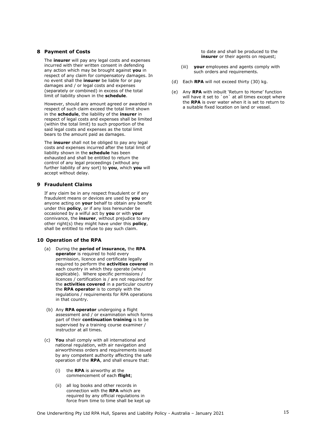#### **8 Payment of Costs**

The **insurer** will pay any legal costs and expenses incurred with their written consent in defending any action which may be brought against **you** in respect of any claim for compensatory damages. In no event shall the **insurer** be liable for or pay damages and / or legal costs and expenses (separately or combined) in excess of the total limit of liability shown in the **schedule**.

However, should any amount agreed or awarded in respect of such claim exceed the total limit shown in the **schedule**, the liability of the **insurer** in respect of legal costs and expenses shall be limited (within the total limit) to such proportion of the said legal costs and expenses as the total limit bears to the amount paid as damages.

The **insurer** shall not be obliged to pay any legal costs and expenses incurred after the total limit of liability shown in the **schedule** has been exhausted and shall be entitled to return the control of any legal proceedings (without any further liability of any sort) to **you**, which **you** will accept without delay.

#### **9 Fraudulent Claims**

If any claim be in any respect fraudulent or if any fraudulent means or devices are used by **you** or anyone acting on **your** behalf to obtain any benefit under this **policy**, or if any loss hereunder be occasioned by a wilful act by **you** or with **your** connivance, the **insurer**, without prejudice to any other right(s) they might have under this **policy**, shall be entitled to refuse to pay such claim.

#### **10 Operation of the RPA**

- (a) During the **period of insurance,** the **RPA operator** is required to hold every permission, licence and certificate legally required to perform the **activities covered** in each country in which they operate (where applicable). Where specific permissions / licences / certification is / are not required for the **activities covered** in a particular country the **RPA operator** is to comply with the regulations / requirements for RPA operations in that country.
- (b) Any **RPA operator** undergoing a flight assessment and / or examination which forms part of their **continuation training** is to be supervised by a training course examiner / instructor at all times.
- (c) **You** shall comply with all international and national regulation, with air navigation and airworthiness orders and requirements issued by any competent authority affecting the safe operation of the **RPA**, and shall ensure that:
	- (i) the **RPA** is airworthy at the commencement of each **flight**;
	- (ii) all log books and other records in connection with the **RPA** which are required by any official regulations in force from time to time shall be kept up

to date and shall be produced to the **insurer** or their agents on request;

- (iii) **your** employees and agents comply with such orders and requirements.
- (d) Each **RPA** will not exceed thirty (30) kg.
- (e) Any **RPA** with inbuilt 'Return to Home' function will have it set to `on` at all times except where the **RPA** is over water when it is set to return to a suitable fixed location on land or vessel.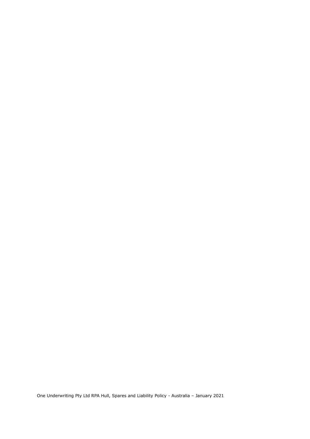One Underwriting Pty Ltd RPA Hull, Spares and Liability Policy - Australia – January 2021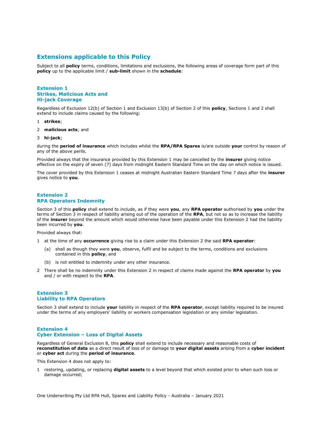## **Extensions applicable to this Policy**

Subject to all **policy** terms, conditions, limitations and exclusions, the following areas of coverage form part of this **policy** up to the applicable limit / **sub-limit** shown in the **schedule**:

## **Extension 1 Strikes, Malicious Acts and Hi-jack Coverage**

Regardless of Exclusion 12(b) of Section 1 and Exclusion 13(b) of Section 2 of this **policy**, Sections 1 and 2 shall extend to include claims caused by the following:

- 1 **strikes**;
- 2 **malicious acts**; and
- 3 **hi-jack**;

during the **period of insurance** which includes whilst the **RPA/RPA Spares** is/are outside **your** control by reason of any of the above perils.

Provided always that the insurance provided by this Extension 1 may be cancelled by the **insurer** giving notice effective on the expiry of seven (7) days from midnight Eastern Standard Time on the day on which notice is issued.

The cover provided by this Extension 1 ceases at midnight Australian Eastern Standard Time 7 days after the **insurer**  gives notice to **you**.

## **Extension 2 RPA Operators Indemnity**

Section 3 of this **policy** shall extend to include, as if they were **you**, any **RPA operator** authorised by **you** under the terms of Section 3 in respect of liability arising out of the operation of the **RPA**, but not so as to increase the liability of the **insurer** beyond the amount which would otherwise have been payable under this Extension 2 had the liability been incurred by **you**.

Provided always that:

- 1 at the time of any **occurrence** giving rise to a claim under this Extension 2 the said **RPA operator**:
	- (a) shall as though they were **you**, observe, fulfil and be subject to the terms, conditions and exclusions contained in this **policy**, and
	- (b) is not entitled to indemnity under any other insurance.
- 2 There shall be no indemnity under this Extension 2 in respect of claims made against the **RPA operator** by **you** and / or with respect to the **RPA**.

## **Extension 3 Liability to RPA Operators**

Section 3 shall extend to include **your** liability in respect of the **RPA operator**, except liability required to be insured under the terms of any employers' liability or workers compensation legislation or any similar legislation.

## **Extension 4 Cyber Extension – Loss of Digital Assets**

Regardless of General Exclusion 8, this **policy** shall extend to include necessary and reasonable costs of **reconstitution of data** as a direct result of loss of or damage to **your digital assets** arising from a **cyber incident** or **cyber act** during the **period of insurance**.

This Extension 4 does not apply to:

1 restoring, updating, or replacing **digital assets** to a level beyond that which existed prior to when such loss or damage occurred;

One Underwriting Pty Ltd RPA Hull, Spares and Liability Policy - Australia – January 2021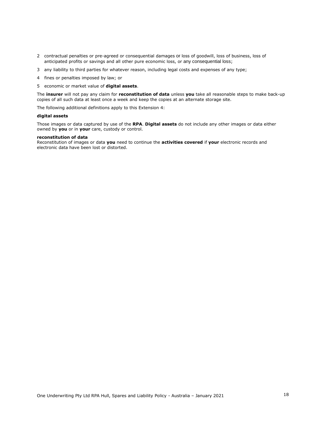- 2 contractual penalties or pre-agreed or consequential damages or loss of goodwill, loss of business, loss of anticipated profits or savings and all other pure economic loss, or any consequential loss;
- 3 any liability to third parties for whatever reason, including legal costs and expenses of any type;
- 4 fines or penalties imposed by law; or
- 5 economic or market value of **digital assets**.

The **insurer** will not pay any claim for **reconstitution of data** unless **you** take all reasonable steps to make back-up copies of all such data at least once a week and keep the copies at an alternate storage site.

The following additional definitions apply to this Extension 4:

#### **digital assets**

Those images or data captured by use of the **RPA**. **Digital assets** do not include any other images or data either owned by **you** or in **your** care, custody or control.

#### **reconstitution of data**

Reconstitution of images or data **you** need to continue the **activities covered** if **your** electronic records and electronic data have been lost or distorted.